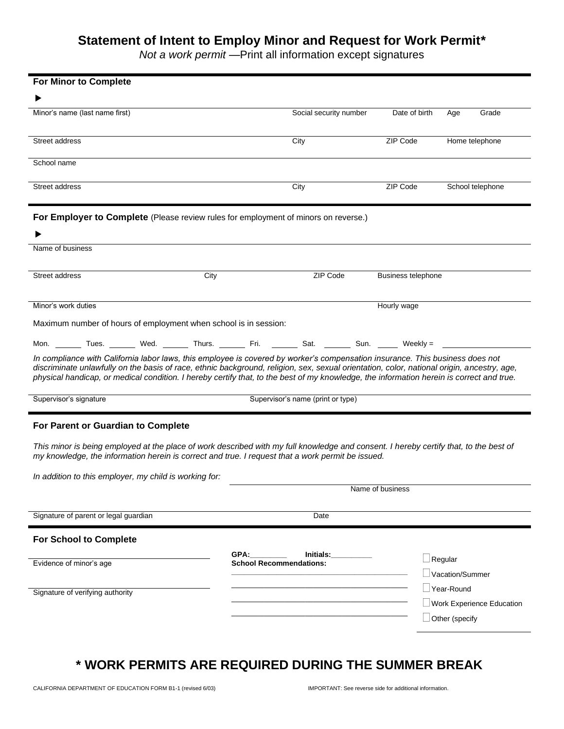## **Statement of Intent to Employ Minor and Request for Work Permit\***

*Not a work permit* —Print all information except signatures

| <b>For Minor to Complete</b>                                                                                                                                                                                                                                                                                                                                                                                            |                                                                                               |                    |                           |
|-------------------------------------------------------------------------------------------------------------------------------------------------------------------------------------------------------------------------------------------------------------------------------------------------------------------------------------------------------------------------------------------------------------------------|-----------------------------------------------------------------------------------------------|--------------------|---------------------------|
|                                                                                                                                                                                                                                                                                                                                                                                                                         |                                                                                               |                    |                           |
| Minor's name (last name first)                                                                                                                                                                                                                                                                                                                                                                                          | Social security number                                                                        | Date of birth      | Age<br>Grade              |
|                                                                                                                                                                                                                                                                                                                                                                                                                         |                                                                                               |                    |                           |
| Street address                                                                                                                                                                                                                                                                                                                                                                                                          | City                                                                                          | ZIP Code           | Home telephone            |
| School name                                                                                                                                                                                                                                                                                                                                                                                                             |                                                                                               |                    |                           |
|                                                                                                                                                                                                                                                                                                                                                                                                                         |                                                                                               |                    |                           |
| Street address                                                                                                                                                                                                                                                                                                                                                                                                          | City                                                                                          | ZIP Code           | School telephone          |
| For Employer to Complete (Please review rules for employment of minors on reverse.)                                                                                                                                                                                                                                                                                                                                     |                                                                                               |                    |                           |
|                                                                                                                                                                                                                                                                                                                                                                                                                         |                                                                                               |                    |                           |
| Name of business                                                                                                                                                                                                                                                                                                                                                                                                        |                                                                                               |                    |                           |
|                                                                                                                                                                                                                                                                                                                                                                                                                         |                                                                                               |                    |                           |
| Street address<br>City                                                                                                                                                                                                                                                                                                                                                                                                  | ZIP Code                                                                                      | Business telephone |                           |
|                                                                                                                                                                                                                                                                                                                                                                                                                         |                                                                                               |                    |                           |
| Minor's work duties                                                                                                                                                                                                                                                                                                                                                                                                     |                                                                                               | Hourly wage        |                           |
| Maximum number of hours of employment when school is in session:                                                                                                                                                                                                                                                                                                                                                        |                                                                                               |                    |                           |
| Mon. ________ Tues. ________ Wed. ________ Thurs. ________ Fri. ________ Sat. _______ Sun. ______ Weekly = ___                                                                                                                                                                                                                                                                                                          |                                                                                               |                    |                           |
| In compliance with California labor laws, this employee is covered by worker's compensation insurance. This business does not<br>discriminate unlawfully on the basis of race, ethnic background, religion, sex, sexual orientation, color, national origin, ancestry, age,<br>physical handicap, or medical condition. I hereby certify that, to the best of my knowledge, the information herein is correct and true. |                                                                                               |                    |                           |
| Supervisor's signature                                                                                                                                                                                                                                                                                                                                                                                                  | Supervisor's name (print or type)                                                             |                    |                           |
| For Parent or Guardian to Complete                                                                                                                                                                                                                                                                                                                                                                                      |                                                                                               |                    |                           |
| This minor is being employed at the place of work described with my full knowledge and consent. I hereby certify that, to the best of<br>my knowledge, the information herein is correct and true. I request that a work permit be issued.                                                                                                                                                                              |                                                                                               |                    |                           |
| In addition to this employer, my child is working for:                                                                                                                                                                                                                                                                                                                                                                  |                                                                                               |                    |                           |
|                                                                                                                                                                                                                                                                                                                                                                                                                         |                                                                                               | Name of business   |                           |
| Signature of parent or legal guardian                                                                                                                                                                                                                                                                                                                                                                                   | Date                                                                                          |                    |                           |
|                                                                                                                                                                                                                                                                                                                                                                                                                         |                                                                                               |                    |                           |
| <b>For School to Complete</b>                                                                                                                                                                                                                                                                                                                                                                                           |                                                                                               |                    |                           |
| Evidence of minor's age                                                                                                                                                                                                                                                                                                                                                                                                 | GPA:<br>Initials: <b>All According to the United States</b><br><b>School Recommendations:</b> | $\Box$ Regular     |                           |
|                                                                                                                                                                                                                                                                                                                                                                                                                         |                                                                                               |                    | Vacation/Summer           |
| Signature of verifying authority                                                                                                                                                                                                                                                                                                                                                                                        |                                                                                               |                    | Year-Round                |
|                                                                                                                                                                                                                                                                                                                                                                                                                         |                                                                                               |                    | Work Experience Education |
|                                                                                                                                                                                                                                                                                                                                                                                                                         |                                                                                               |                    | Other (specify            |
|                                                                                                                                                                                                                                                                                                                                                                                                                         |                                                                                               |                    |                           |

# **\* WORK PERMITS ARE REQUIRED DURING THE SUMMER BREAK**